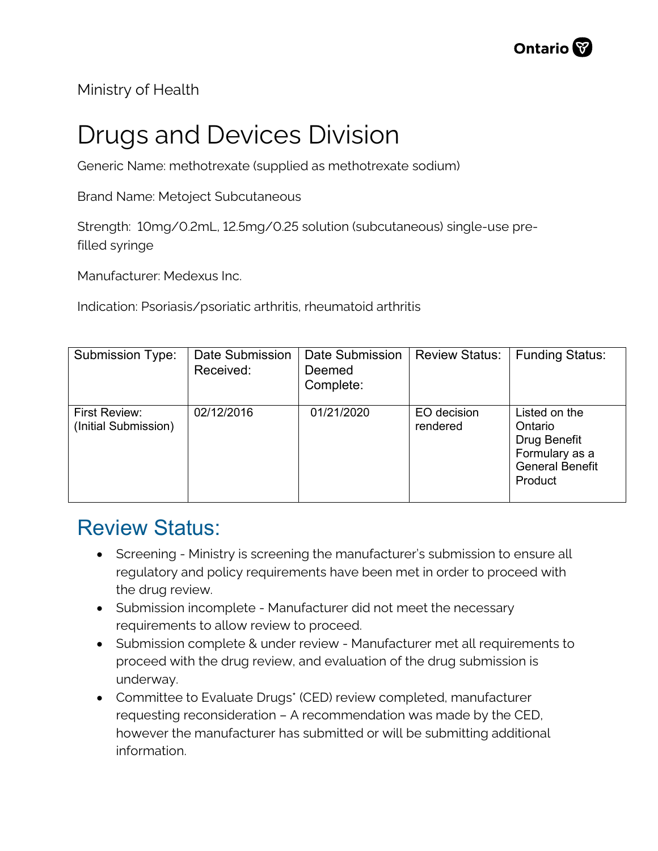Ministry of Health

## Drugs and Devices Division

Generic Name: methotrexate (supplied as methotrexate sodium)

Brand Name: Metoject Subcutaneous

Strength: 10mg/0.2mL, 12.5mg/0.25 solution (subcutaneous) single-use prefilled syringe

Manufacturer: Medexus Inc.

Indication: Psoriasis/psoriatic arthritis, rheumatoid arthritis

| <b>Submission Type:</b>               | Date Submission<br>Received: | Date Submission<br>Deemed<br>Complete: | <b>Review Status:</b>   | <b>Funding Status:</b>                                                                          |
|---------------------------------------|------------------------------|----------------------------------------|-------------------------|-------------------------------------------------------------------------------------------------|
| First Review:<br>(Initial Submission) | 02/12/2016                   | 01/21/2020                             | EO decision<br>rendered | Listed on the<br>Ontario<br>Drug Benefit<br>Formulary as a<br><b>General Benefit</b><br>Product |

## Review Status:

- Screening Ministry is screening the manufacturer's submission to ensure all regulatory and policy requirements have been met in order to proceed with the drug review.
- Submission incomplete Manufacturer did not meet the necessary requirements to allow review to proceed.
- Submission complete & under review Manufacturer met all requirements to proceed with the drug review, and evaluation of the drug submission is underway.
- Committee to Evaluate Drugs\* (CED) review completed, manufacturer requesting reconsideration – A recommendation was made by the CED, however the manufacturer has submitted or will be submitting additional information.